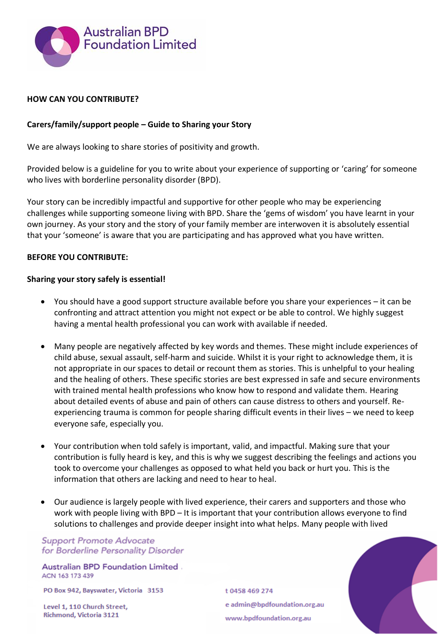

### **HOW CAN YOU CONTRIBUTE?**

## **Carers/family/support people – Guide to Sharing your Story**

We are always looking to share stories of positivity and growth.

Provided below is a guideline for you to write about your experience of supporting or 'caring' for someone who lives with borderline personality disorder (BPD).

Your story can be incredibly impactful and supportive for other people who may be experiencing challenges while supporting someone living with BPD. Share the 'gems of wisdom' you have learnt in your own journey. As your story and the story of your family member are interwoven it is absolutely essential that your 'someone' is aware that you are participating and has approved what you have written.

#### **BEFORE YOU CONTRIBUTE:**

#### **Sharing your story safely is essential!**

- You should have a good support structure available before you share your experiences it can be confronting and attract attention you might not expect or be able to control. We highly suggest having a mental health professional you can work with available if needed.
- Many people are negatively affected by key words and themes. These might include experiences of child abuse, sexual assault, self-harm and suicide. Whilst it is your right to acknowledge them, it is not appropriate in our spaces to detail or recount them as stories. This is unhelpful to your healing and the healing of others. These specific stories are best expressed in safe and secure environments with trained mental health professions who know how to respond and validate them. Hearing about detailed events of abuse and pain of others can cause distress to others and yourself. Reexperiencing trauma is common for people sharing difficult events in their lives – we need to keep everyone safe, especially you.
- Your contribution when told safely is important, valid, and impactful. Making sure that your contribution is fully heard is key, and this is why we suggest describing the feelings and actions you took to overcome your challenges as opposed to what held you back or hurt you. This is the information that others are lacking and need to hear to heal.
- Our audience is largely people with lived experience, their carers and supporters and those who work with people living with BPD – It is important that your contribution allows everyone to find solutions to challenges and provide deeper insight into what helps. Many people with lived

# **Support Promote Advocate** for Borderline Personality Disorder

**Australian BPD Foundation Limited.** ACN 163 173 439

PO Box 942, Bayswater, Victoria 3153

Level 1, 110 Church Street, Richmond, Victoria 3121

t 0458 469 274 e admin@bpdfoundation.org.au www.bpdfoundation.org.au